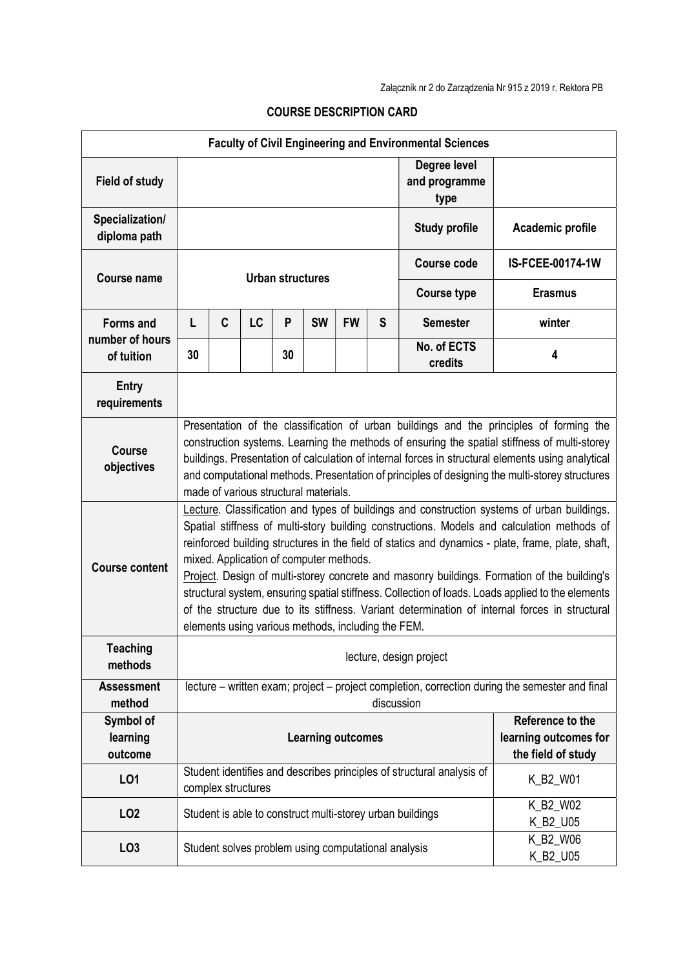| <b>Faculty of Civil Engineering and Environmental Sciences</b> |                                                                                                                                                                                                                                                                                                                                                                                                                                                                                                                                                                                                                                                                                                      |              |                    |    |                                                     |           |                                                                 |                                                                       |                      |  |  |
|----------------------------------------------------------------|------------------------------------------------------------------------------------------------------------------------------------------------------------------------------------------------------------------------------------------------------------------------------------------------------------------------------------------------------------------------------------------------------------------------------------------------------------------------------------------------------------------------------------------------------------------------------------------------------------------------------------------------------------------------------------------------------|--------------|--------------------|----|-----------------------------------------------------|-----------|-----------------------------------------------------------------|-----------------------------------------------------------------------|----------------------|--|--|
| <b>Field of study</b>                                          |                                                                                                                                                                                                                                                                                                                                                                                                                                                                                                                                                                                                                                                                                                      |              |                    |    |                                                     |           |                                                                 | Degree level<br>and programme<br>type                                 |                      |  |  |
| Specialization/<br>diploma path                                |                                                                                                                                                                                                                                                                                                                                                                                                                                                                                                                                                                                                                                                                                                      |              |                    |    |                                                     |           |                                                                 | <b>Study profile</b>                                                  | Academic profile     |  |  |
| <b>Course name</b>                                             | <b>Urban structures</b>                                                                                                                                                                                                                                                                                                                                                                                                                                                                                                                                                                                                                                                                              |              |                    |    |                                                     |           |                                                                 | <b>Course code</b>                                                    | IS-FCEE-00174-1W     |  |  |
|                                                                |                                                                                                                                                                                                                                                                                                                                                                                                                                                                                                                                                                                                                                                                                                      |              |                    |    |                                                     |           |                                                                 | <b>Course type</b>                                                    | <b>Erasmus</b>       |  |  |
| <b>Forms and</b>                                               | L                                                                                                                                                                                                                                                                                                                                                                                                                                                                                                                                                                                                                                                                                                    | $\mathbf{C}$ | LC                 | P  | <b>SW</b>                                           | <b>FW</b> | S                                                               | <b>Semester</b>                                                       | winter               |  |  |
| number of hours<br>of tuition                                  | 30                                                                                                                                                                                                                                                                                                                                                                                                                                                                                                                                                                                                                                                                                                   |              |                    | 30 |                                                     |           |                                                                 | No. of ECTS<br>credits                                                | 4                    |  |  |
| <b>Entry</b><br>requirements                                   |                                                                                                                                                                                                                                                                                                                                                                                                                                                                                                                                                                                                                                                                                                      |              |                    |    |                                                     |           |                                                                 |                                                                       |                      |  |  |
| <b>Course</b><br>objectives                                    | Presentation of the classification of urban buildings and the principles of forming the<br>construction systems. Learning the methods of ensuring the spatial stiffness of multi-storey<br>buildings. Presentation of calculation of internal forces in structural elements using analytical<br>and computational methods. Presentation of principles of designing the multi-storey structures<br>made of various structural materials.                                                                                                                                                                                                                                                              |              |                    |    |                                                     |           |                                                                 |                                                                       |                      |  |  |
| <b>Course content</b>                                          | Lecture. Classification and types of buildings and construction systems of urban buildings.<br>Spatial stiffness of multi-story building constructions. Models and calculation methods of<br>reinforced building structures in the field of statics and dynamics - plate, frame, plate, shaft,<br>mixed. Application of computer methods.<br>Project. Design of multi-storey concrete and masonry buildings. Formation of the building's<br>structural system, ensuring spatial stiffness. Collection of loads. Loads applied to the elements<br>of the structure due to its stiffness. Variant determination of internal forces in structural<br>elements using various methods, including the FEM. |              |                    |    |                                                     |           |                                                                 |                                                                       |                      |  |  |
| <b>Teaching</b><br>methods                                     | lecture, design project                                                                                                                                                                                                                                                                                                                                                                                                                                                                                                                                                                                                                                                                              |              |                    |    |                                                     |           |                                                                 |                                                                       |                      |  |  |
| <b>Assessment</b><br>method                                    | lecture – written exam; project – project completion, correction during the semester and final<br>discussion                                                                                                                                                                                                                                                                                                                                                                                                                                                                                                                                                                                         |              |                    |    |                                                     |           |                                                                 |                                                                       |                      |  |  |
| Symbol of<br>learning<br>outcome                               | <b>Learning outcomes</b>                                                                                                                                                                                                                                                                                                                                                                                                                                                                                                                                                                                                                                                                             |              |                    |    |                                                     |           | Reference to the<br>learning outcomes for<br>the field of study |                                                                       |                      |  |  |
| LO1                                                            |                                                                                                                                                                                                                                                                                                                                                                                                                                                                                                                                                                                                                                                                                                      |              | complex structures |    |                                                     |           |                                                                 | Student identifies and describes principles of structural analysis of | K_B2_W01             |  |  |
| LO <sub>2</sub>                                                |                                                                                                                                                                                                                                                                                                                                                                                                                                                                                                                                                                                                                                                                                                      |              |                    |    |                                                     |           |                                                                 | Student is able to construct multi-storey urban buildings             | K_B2_W02<br>K_B2_U05 |  |  |
| LO <sub>3</sub>                                                |                                                                                                                                                                                                                                                                                                                                                                                                                                                                                                                                                                                                                                                                                                      |              |                    |    | Student solves problem using computational analysis |           |                                                                 |                                                                       | K_B2_W06<br>K_B2_U05 |  |  |

## COURSE DESCRIPTION CARD